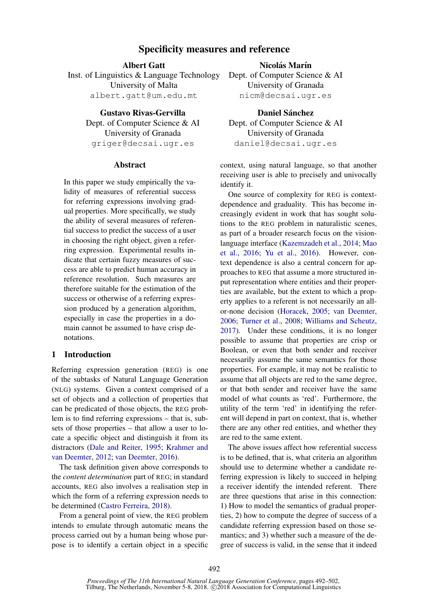# Specificity measures and reference

Albert Gatt

Inst. of Linguistics & Language Technology University of Malta albert.gatt@um.edu.mt

> Gustavo Rivas-Gervilla Dept. of Computer Science & AI University of Granada griger@decsai.ugr.es

### **Abstract**

In this paper we study empirically the validity of measures of referential success for referring expressions involving gradual properties. More specifically, we study the ability of several measures of referential success to predict the success of a user in choosing the right object, given a referring expression. Experimental results indicate that certain fuzzy measures of success are able to predict human accuracy in reference resolution. Such measures are therefore suitable for the estimation of the success or otherwise of a referring expression produced by a generation algorithm, especially in case the properties in a domain cannot be assumed to have crisp denotations.

# 1 Introduction

Referring expression generation (REG) is one of the subtasks of Natural Language Generation (NLG) systems. Given a context comprised of a set of objects and a collection of properties that can be predicated of those objects, the REG problem is to find referring expressions – that is, subsets of those properties – that allow a user to locate a specific object and distinguish it from its distractors [\(Dale and Reiter,](#page-9-0) [1995;](#page-9-0) [Krahmer and](#page-9-1) [van Deemter,](#page-9-1) [2012;](#page-9-1) [van Deemter,](#page-9-2) [2016\)](#page-9-2).

The task definition given above corresponds to the *content determination* part of REG; in standard accounts, REG also involves a realisation step in which the form of a referring expression needs to be determined [\(Castro Ferreira,](#page-9-3) [2018\)](#page-9-3).

From a general point of view, the REG problem intends to emulate through automatic means the process carried out by a human being whose purpose is to identify a certain object in a specific

Nicolás Marín Dept. of Computer Science & AI University of Granada nicm@decsai.ugr.es

Daniel Sánchez Dept. of Computer Science & AI University of Granada daniel@decsai.ugr.es

context, using natural language, so that another receiving user is able to precisely and univocally identify it.

One source of complexity for REG is contextdependence and graduality. This has become increasingly evident in work that has sought solutions to the REG problem in naturalistic scenes, as part of a broader research focus on the visionlanguage interface [\(Kazemzadeh et al.,](#page-9-4) [2014;](#page-9-4) [Mao](#page-9-5) [et al.,](#page-9-5) [2016;](#page-9-5) [Yu et al.,](#page-10-0) [2016\)](#page-10-0). However, context dependence is also a central concern for approaches to REG that assume a more structured input representation where entities and their properties are available, but the extent to which a property applies to a referent is not necessarily an allor-none decision [\(Horacek,](#page-9-6) [2005;](#page-9-6) [van Deemter,](#page-9-7) [2006;](#page-9-7) [Turner et al.,](#page-9-8) [2008;](#page-9-8) [Williams and Scheutz,](#page-9-9) [2017\)](#page-9-9). Under these conditions, it is no longer possible to assume that properties are crisp or Boolean, or even that both sender and receiver necessarily assume the same semantics for those properties. For example, it may not be realistic to assume that all objects are red to the same degree, or that both sender and receiver have the same model of what counts as 'red'. Furthermore, the utility of the term 'red' in identifying the referent will depend in part on context, that is, whether there are any other red entities, and whether they are red to the same extent.

The above issues affect how referential success is to be defined, that is, what criteria an algorithm should use to determine whether a candidate referring expression is likely to succeed in helping a receiver identify the intended referent. There are three questions that arise in this connection: 1) How to model the semantics of gradual properties, 2) how to compute the degree of success of a candidate referring expression based on those semantics; and 3) whether such a measure of the degree of success is valid, in the sense that it indeed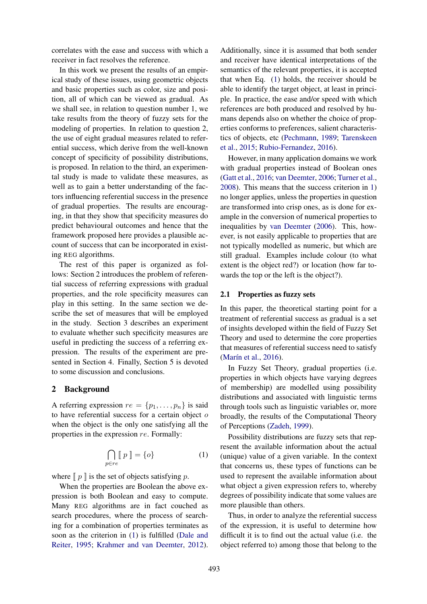correlates with the ease and success with which a receiver in fact resolves the reference.

In this work we present the results of an empirical study of these issues, using geometric objects and basic properties such as color, size and position, all of which can be viewed as gradual. As we shall see, in relation to question number 1, we take results from the theory of fuzzy sets for the modeling of properties. In relation to question 2, the use of eight gradual measures related to referential success, which derive from the well-known concept of specificity of possibility distributions, is proposed. In relation to the third, an experimental study is made to validate these measures, as well as to gain a better understanding of the factors influencing referential success in the presence of gradual properties. The results are encouraging, in that they show that specificity measures do predict behavioural outcomes and hence that the framework proposed here provides a plausible account of success that can be incorporated in existing REG algorithms.

The rest of this paper is organized as follows: Section 2 introduces the problem of referential success of referring expressions with gradual properties, and the role specificity measures can play in this setting. In the same section we describe the set of measures that will be employed in the study. Section 3 describes an experiment to evaluate whether such specificity measures are useful in predicting the success of a referring expression. The results of the experiment are presented in Section 4. Finally, Section 5 is devoted to some discussion and conclusions.

### <span id="page-1-1"></span>2 Background

A referring expression  $re = \{p_1, \ldots, p_n\}$  is said to have referential success for a certain object  $o$ when the object is the only one satisfying all the properties in the expression re. Formally:

<span id="page-1-0"></span>
$$
\bigcap_{p \in re} [p] = \{o\} \tag{1}
$$

where  $\llbracket p \rrbracket$  is the set of objects satisfying p.

When the properties are Boolean the above expression is both Boolean and easy to compute. Many REG algorithms are in fact couched as search procedures, where the process of searching for a combination of properties terminates as soon as the criterion in [\(1\)](#page-1-0) is fulfilled [\(Dale and](#page-9-0) [Reiter,](#page-9-0) [1995;](#page-9-0) [Krahmer and van Deemter,](#page-9-1) [2012\)](#page-9-1).

Additionally, since it is assumed that both sender and receiver have identical interpretations of the semantics of the relevant properties, it is accepted that when Eq. [\(1\)](#page-1-0) holds, the receiver should be able to identify the target object, at least in principle. In practice, the ease and/or speed with which references are both produced and resolved by humans depends also on whether the choice of properties conforms to preferences, salient characteristics of objects, etc [\(Pechmann,](#page-9-10) [1989;](#page-9-10) [Tarenskeen](#page-9-11) [et al.,](#page-9-11) [2015;](#page-9-11) [Rubio-Fernandez,](#page-9-12) [2016\)](#page-9-12).

However, in many application domains we work with gradual properties instead of Boolean ones [\(Gatt et al.,](#page-9-13) [2016;](#page-9-13) [van Deemter,](#page-9-7) [2006;](#page-9-7) [Turner et al.,](#page-9-8) [2008\)](#page-9-8). This means that the success criterion in [1\)](#page-1-0) no longer applies, unless the properties in question are transformed into crisp ones, as is done for example in the conversion of numerical properties to inequalities by [van Deemter](#page-9-7) [\(2006\)](#page-9-7). This, however, is not easily applicable to properties that are not typically modelled as numeric, but which are still gradual. Examples include colour (to what extent is the object red?) or location (how far towards the top or the left is the object?).

### 2.1 Properties as fuzzy sets

In this paper, the theoretical starting point for a treatment of referential success as gradual is a set of insights developed within the field of Fuzzy Set Theory and used to determine the core properties that measures of referential success need to satisfy (Marín et al., [2016\)](#page-9-14).

In Fuzzy Set Theory, gradual properties (i.e. properties in which objects have varying degrees of membership) are modelled using possibility distributions and associated with linguistic terms through tools such as linguistic variables or, more broadly, the results of the Computational Theory of Perceptions [\(Zadeh,](#page-10-1) [1999\)](#page-10-1).

Possibility distributions are fuzzy sets that represent the available information about the actual (unique) value of a given variable. In the context that concerns us, these types of functions can be used to represent the available information about what object a given expression refers to, whereby degrees of possibility indicate that some values are more plausible than others.

Thus, in order to analyze the referential success of the expression, it is useful to determine how difficult it is to find out the actual value (i.e. the object referred to) among those that belong to the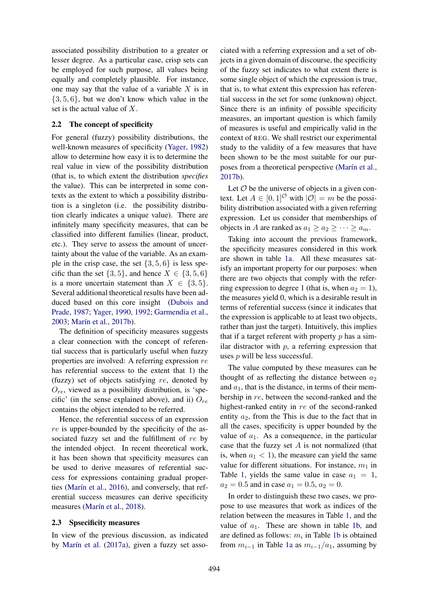associated possibility distribution to a greater or lesser degree. As a particular case, crisp sets can be employed for such purpose, all values being equally and completely plausible. For instance, one may say that the value of a variable  $X$  is in  $\{3, 5, 6\}$ , but we don't know which value in the set is the actual value of X.

### 2.2 The concept of specificity

For general (fuzzy) possibility distributions, the well-known measures of specificity [\(Yager,](#page-9-15) [1982\)](#page-9-15) allow to determine how easy it is to determine the real value in view of the possibility distribution (that is, to which extent the distribution *specifies* the value). This can be interpreted in some contexts as the extent to which a possibility distribution is a singleton (i.e. the possibility distribution clearly indicates a unique value). There are infinitely many specificity measures, that can be classified into different families (linear, product, etc.). They serve to assess the amount of uncertainty about the value of the variable. As an example in the crisp case, the set  $\{3, 5, 6\}$  is less specific than the set  $\{3, 5\}$ , and hence  $X \in \{3, 5, 6\}$ is a more uncertain statement than  $X \in \{3, 5\}.$ Several additional theoretical results have been adduced based on this core insight [\(Dubois and](#page-9-16) [Prade,](#page-9-16) [1987;](#page-9-16) [Yager,](#page-9-17) [1990,](#page-9-17) [1992;](#page-10-2) [Garmendia et al.,](#page-9-18) [2003;](#page-9-18) Marín et al., [2017b\)](#page-9-19).

The definition of specificity measures suggests a clear connection with the concept of referential success that is particularly useful when fuzzy properties are involved: A referring expression re has referential success to the extent that 1) the (fuzzy) set of objects satisfying re, denoted by  $O_{re}$ , viewed as a possibility distribution, is 'specific' (in the sense explained above), and ii)  $O_{re}$ contains the object intended to be referred.

Hence, the referential success of an expression re is upper-bounded by the specificity of the associated fuzzy set and the fulfillment of re by the intended object. In recent theoretical work, it has been shown that specificity measures can be used to derive measures of referential success for expressions containing gradual proper-ties (Marín et al., [2016\)](#page-9-14), and conversely, that referential success measures can derive specificity measures (Marín et al., [2018\)](#page-9-20).

#### 2.3 Spsecificity measures

In view of the previous discussion, as indicated by Marín et al.  $(2017a)$ , given a fuzzy set asso-

ciated with a referring expression and a set of objects in a given domain of discourse, the specificity of the fuzzy set indicates to what extent there is some single object of which the expression is true, that is, to what extent this expression has referential success in the set for some (unknown) object. Since there is an infinity of possible specificity measures, an important question is which family of measures is useful and empirically valid in the context of REG. We shall restrict our experimental study to the validity of a few measures that have been shown to be the most suitable for our purposes from a theoretical perspective (Marín et al., [2017b\)](#page-9-19).

Let  $\mathcal O$  be the universe of objects in a given context. Let  $A \in [0,1]^\mathcal{O}$  with  $|\mathcal{O}| = m$  be the possibility distribution associated with a given referring expression. Let us consider that memberships of objects in A are ranked as  $a_1 \ge a_2 \ge \cdots \ge a_m$ .

Taking into account the previous framework, the specificity measures considered in this work are shown in table [1a.](#page-3-0) All these measures satisfy an important property for our purposes: when there are two objects that comply with the referring expression to degree 1 (that is, when  $a_2 = 1$ ), the measures yield 0, which is a desirable result in terms of referential success (since it indicates that the expression is applicable to at least two objects, rather than just the target). Intuitively, this implies that if a target referent with property  $p$  has a similar distractor with  $p$ , a referring expression that uses  $p$  will be less successful.

The value computed by these measures can be thought of as reflecting the distance between  $a_2$ and  $a_1$ , that is the distance, in terms of their membership in re, between the second-ranked and the highest-ranked entity in re of the second-ranked entity  $a_2$ , from the This is due to the fact that in all the cases, specificity is upper bounded by the value of  $a_1$ . As a consequence, in the particular case that the fuzzy set  $A$  is not normalized (that is, when  $a_1 < 1$ , the measure can yield the same value for different situations. For instance,  $m_1$  in Table [1,](#page-3-0) yields the same value in case  $a_1 = 1$ ,  $a_2 = 0.5$  and in case  $a_1 = 0.5$ ,  $a_2 = 0$ .

In order to distinguish these two cases, we propose to use measures that work as indices of the relation between the measures in Table [1,](#page-3-0) and the value of  $a_1$ . These are shown in table [1b,](#page-3-0) and are defined as follows:  $m_i$  in Table [1b](#page-3-0) is obtained from  $m_{i-1}$  in Table [1a](#page-3-0) as  $m_{i-1}/a_1$ , assuming by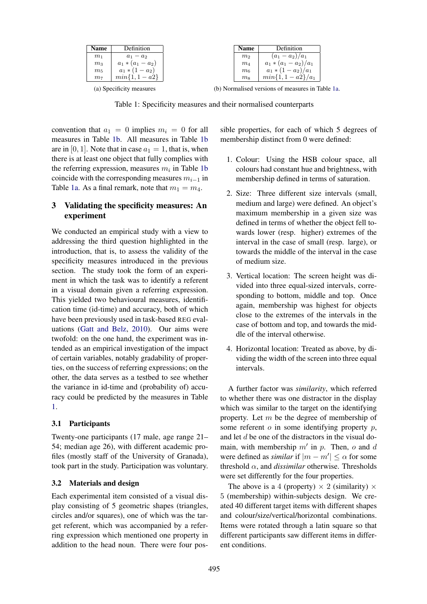<span id="page-3-0"></span>

| Name                     | Definition          | <b>Name</b>        | Definition                             |
|--------------------------|---------------------|--------------------|----------------------------------------|
|                          |                     |                    |                                        |
| m <sub>1</sub>           | $a_1 - a_2$         | m <sub>2</sub>     | $(a_1 - a_2)/a_1$                      |
| m <sub>3</sub>           | $a_1 * (a_1 - a_2)$ | $m_4$              | $a_1 * (a_1 - a_2)/a_1$                |
| $m_5$                    | $a_1 * (1 - a_2)$   | m <sub>6</sub>     | $a_1 * (1 - a_2)/a_1$                  |
| m <sub>7</sub>           | $min{1, 1 - a2}$    | $\mathfrak{m}_{8}$ | $min{1, 1 - a2}/a_1$                   |
| (a) Specificity measures |                     |                    | (b) Normalised versions of measures in |

(b) Normalised versions of measures in Table [1a.](#page-3-0)

Table 1: Specificity measures and their normalised counterparts

convention that  $a_1 = 0$  implies  $m_i = 0$  for all measures in Table [1b.](#page-3-0) All measures in Table [1b](#page-3-0) are in [0, 1]. Note that in case  $a_1 = 1$ , that is, when there is at least one object that fully complies with the referring expression, measures  $m_i$  in Table [1b](#page-3-0) coincide with the corresponding measures  $m_{i-1}$  in Table [1a.](#page-3-0) As a final remark, note that  $m_1 = m_4$ .

## 3 Validating the specificity measures: An experiment

We conducted an empirical study with a view to addressing the third question highlighted in the introduction, that is, to assess the validity of the specificity measures introduced in the previous section. The study took the form of an experiment in which the task was to identify a referent in a visual domain given a referring expression. This yielded two behavioural measures, identification time (id-time) and accuracy, both of which have been previously used in task-based REG evaluations [\(Gatt and Belz,](#page-9-22) [2010\)](#page-9-22). Our aims were twofold: on the one hand, the experiment was intended as an empirical investigation of the impact of certain variables, notably gradability of properties, on the success of referring expressions; on the other, the data serves as a testbed to see whether the variance in id-time and (probability of) accuracy could be predicted by the measures in Table [1.](#page-3-0)

### 3.1 Participants

Twenty-one participants (17 male, age range 21– 54; median age 26), with different academic profiles (mostly staff of the University of Granada), took part in the study. Participation was voluntary.

### 3.2 Materials and design

Each experimental item consisted of a visual display consisting of 5 geometric shapes (triangles, circles and/or squares), one of which was the target referent, which was accompanied by a referring expression which mentioned one property in addition to the head noun. There were four possible properties, for each of which 5 degrees of membership distinct from 0 were defined:

- 1. Colour: Using the HSB colour space, all colours had constant hue and brightness, with membership defined in terms of saturation.
- 2. Size: Three different size intervals (small, medium and large) were defined. An object's maximum membership in a given size was defined in terms of whether the object fell towards lower (resp. higher) extremes of the interval in the case of small (resp. large), or towards the middle of the interval in the case of medium size.
- 3. Vertical location: The screen height was divided into three equal-sized intervals, corresponding to bottom, middle and top. Once again, membership was highest for objects close to the extremes of the intervals in the case of bottom and top, and towards the middle of the interval otherwise.
- 4. Horizontal location: Treated as above, by dividing the width of the screen into three equal intervals.

A further factor was *similarity*, which referred to whether there was one distractor in the display which was similar to the target on the identifying property. Let m be the degree of membership of some referent  $o$  in some identifying property  $p$ , and let d be one of the distractors in the visual domain, with membership  $m'$  in  $p$ . Then,  $o$  and  $d$ were defined as *similar* if  $|m - m'| \leq \alpha$  for some threshold α, and *dissimilar* otherwise. Thresholds were set differently for the four properties.

The above is a 4 (property)  $\times$  2 (similarity)  $\times$ 5 (membership) within-subjects design. We created 40 different target items with different shapes and colour/size/vertical/horizontal combinations. Items were rotated through a latin square so that different participants saw different items in different conditions.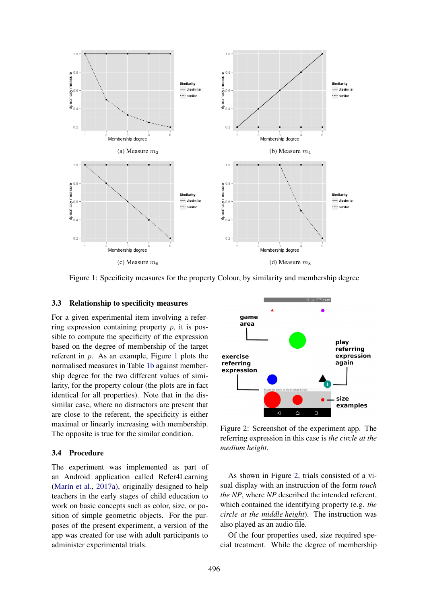<span id="page-4-0"></span>

Figure 1: Specificity measures for the property Colour, by similarity and membership degree

### 3.3 Relationship to specificity measures

For a given experimental item involving a referring expression containing property  $p$ , it is possible to compute the specificity of the expression based on the degree of membership of the target referent in p. As an example, Figure [1](#page-4-0) plots the normalised measures in Table [1b](#page-3-0) against membership degree for the two different values of similarity, for the property colour (the plots are in fact identical for all properties). Note that in the dissimilar case, where no distractors are present that are close to the referent, the specificity is either maximal or linearly increasing with membership. The opposite is true for the similar condition.

#### 3.4 Procedure

The experiment was implemented as part of an Android application called Refer4Learning (Marín et al.,  $2017a$ ), originally designed to help teachers in the early stages of child education to work on basic concepts such as color, size, or position of simple geometric objects. For the purposes of the present experiment, a version of the app was created for use with adult participants to administer experimental trials.

<span id="page-4-1"></span>

Figure 2: Screenshot of the experiment app. The referring expression in this case is *the circle at the medium height*.

As shown in Figure [2,](#page-4-1) trials consisted of a visual display with an instruction of the form *touch the NP*, where *NP* described the intended referent, which contained the identifying property (e.g. *the circle at the middle height*). The instruction was also played as an audio file.

Of the four properties used, size required special treatment. While the degree of membership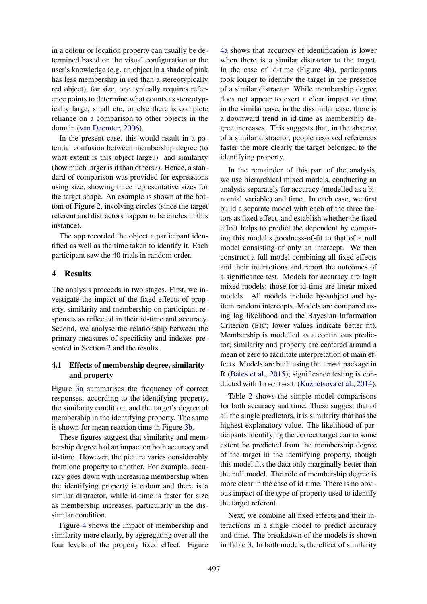in a colour or location property can usually be determined based on the visual configuration or the user's knowledge (e.g. an object in a shade of pink has less membership in red than a stereotypically red object), for size, one typically requires reference points to determine what counts as stereotypically large, small etc, or else there is complete reliance on a comparison to other objects in the domain [\(van Deemter,](#page-9-7) [2006\)](#page-9-7).

In the present case, this would result in a potential confusion between membership degree (to what extent is this object large?) and similarity (how much larger is it than others?). Hence, a standard of comparison was provided for expressions using size, showing three representative sizes for the target shape. An example is shown at the bottom of Figure [2,](#page-4-1) involving circles (since the target referent and distractors happen to be circles in this instance).

The app recorded the object a participant identified as well as the time taken to identify it. Each participant saw the 40 trials in random order.

# 4 Results

The analysis proceeds in two stages. First, we investigate the impact of the fixed effects of property, similarity and membership on participant responses as reflected in their id-time and accuracy. Second, we analyse the relationship between the primary measures of specificity and indexes presented in Section [2](#page-1-1) and the results.

# 4.1 Effects of membership degree, similarity and property

Figure [3a](#page-6-0) summarises the frequency of correct responses, according to the identifying property, the similarity condition, and the target's degree of membership in the identifying property. The same is shown for mean reaction time in Figure [3b.](#page-6-0)

These figures suggest that similarity and membership degree had an impact on both accuracy and id-time. However, the picture varies considerably from one property to another. For example, accuracy goes down with increasing membership when the identifying property is colour and there is a similar distractor, while id-time is faster for size as membership increases, particularly in the dissimilar condition.

Figure [4](#page-6-1) shows the impact of membership and similarity more clearly, by aggregating over all the four levels of the property fixed effect. Figure [4a](#page-6-1) shows that accuracy of identification is lower when there is a similar distractor to the target. In the case of id-time (Figure [4b\)](#page-6-1), participants took longer to identify the target in the presence of a similar distractor. While membership degree does not appear to exert a clear impact on time in the similar case, in the dissimilar case, there is a downward trend in id-time as membership degree increases. This suggests that, in the absence of a similar distractor, people resolved references faster the more clearly the target belonged to the identifying property.

In the remainder of this part of the analysis, we use hierarchical mixed models, conducting an analysis separately for accuracy (modelled as a binomial variable) and time. In each case, we first build a separate model with each of the three factors as fixed effect, and establish whether the fixed effect helps to predict the dependent by comparing this model's goodness-of-fit to that of a null model consisting of only an intercept. We then construct a full model combining all fixed effects and their interactions and report the outcomes of a significance test. Models for accuracy are logit mixed models; those for id-time are linear mixed models. All models include by-subject and byitem random intercepts. Models are compared using log likelihood and the Bayesian Information Criterion (BIC; lower values indicate better fit). Membership is modelled as a continuous predictor; similarity and property are centered around a mean of zero to facilitate interpretation of main effects. Models are built using the lme4 package in R [\(Bates et al.,](#page-9-23) [2015\)](#page-9-23); significance testing is conducted with lmerTest [\(Kuznetsova et al.,](#page-9-24) [2014\)](#page-9-24).

Table [2](#page-6-2) shows the simple model comparisons for both accuracy and time. These suggest that of all the single predictors, it is similarity that has the highest explanatory value. The likelihood of participants identifying the correct target can to some extent be predicted from the membership degree of the target in the identifying property, though this model fits the data only marginally better than the null model. The role of membership degree is more clear in the case of id-time. There is no obvious impact of the type of property used to identify the target referent.

Next, we combine all fixed effects and their interactions in a single model to predict accuracy and time. The breakdown of the models is shown in Table [3.](#page-7-0) In both models, the effect of similarity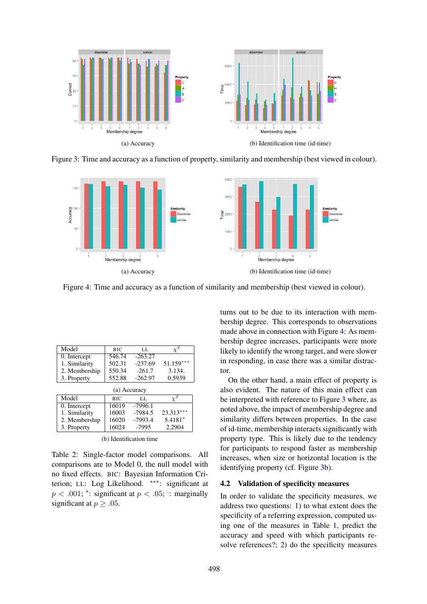<span id="page-6-0"></span>

Figure 3: Time and accuracy as a function of property, similarity and membership (best viewed in colour).

<span id="page-6-1"></span>

Figure 4: Time and accuracy as a function of similarity and membership (best viewed in colour).

<span id="page-6-2"></span>

| Model         | <b>BIC</b> | LL.       |             |  |  |
|---------------|------------|-----------|-------------|--|--|
| 0. Intercept  | 546.74     | $-263.27$ |             |  |  |
| 1. Similarity | 502.31     | $-237.69$ | $51.159***$ |  |  |
| 2. Membership | 550.34     | $-261.7$  | 3.134.      |  |  |
| 3. Property   | 552.88     | $-262.97$ | 0.5939      |  |  |
| (a) Accuracy  |            |           |             |  |  |
| Model         | <b>BIC</b> | LL.       |             |  |  |
| 0. Intercept  | 16019      | $-7996.1$ |             |  |  |
|               |            |           |             |  |  |
| 1. Similarity | 16003      | $-7984.5$ | 23.313***   |  |  |
| 2. Membership | 16020      | $-7993.4$ | $5.4181*$   |  |  |

|  | (b) Identification time |  |
|--|-------------------------|--|
|--|-------------------------|--|

Table 2: Single-factor model comparisons. All comparisons are to Model 0, the null model with no fixed effects. BIC: Bayesian Information Criterion; LL: Log Likelihood. ∗∗∗: significant at  $p < .001$ ; \*: significant at  $p < .05$ ; : marginally significant at  $p > .05$ .

turns out to be due to its interaction with membership degree. This corresponds to observations made above in connection with Figure [4:](#page-6-1) As membership degree increases, participants were more likely to identify the wrong target, and were slower in responding, in case there was a similar distractor.

On the other hand, a main effect of property is also evident. The nature of this main effect can be interpreted with reference to Figure [3](#page-6-0) where, as noted above, the impact of membership degree and similarity differs between properties. In the case of id-time, membership interacts significantly with property type. This is likely due to the tendency for participants to respond faster as membership increases, when size or horizontal location is the identifying property (cf. Figure [3b\)](#page-6-0).

### 4.2 Validation of specificity measures

In order to validate the specificity measures, we address two questions: 1) to what extent does the specificity of a referring expression, computed using one of the measures in Table [1,](#page-3-0) predict the accuracy and speed with which participants resolve references?; 2) do the specificity measures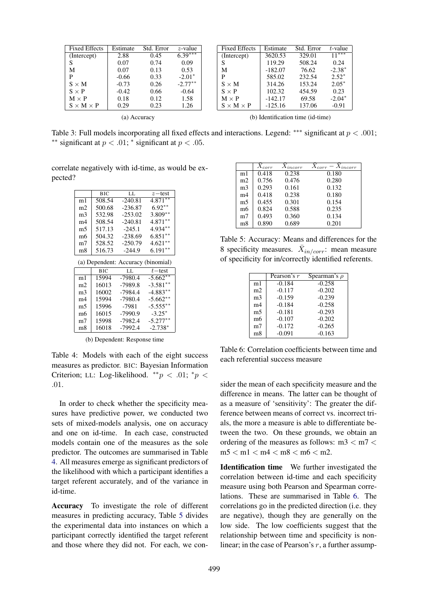<span id="page-7-0"></span>

| <b>Fixed Effects</b>  | Estimate | Std. Error | z-value   | <b>Fixed Effects</b>  | Estimate  | Std. Error                        | $t$ -value |
|-----------------------|----------|------------|-----------|-----------------------|-----------|-----------------------------------|------------|
| (Intercept)           | 2.88     | 0.45       | $6.39***$ | (Intercept)           | 3620.53   | 329.01                            | $11***$    |
|                       | 0.07     | 0.74       | 0.09      | S                     | 119.29    | 508.24                            | 0.24       |
| М                     | 0.07     | 0.13       | 0.53      | M                     | $-182.07$ | 76.62                             | $-2.38*$   |
| P                     | $-0.66$  | 0.33       | $-2.01*$  | P                     | 585.02    | 232.54                            | $2.52*$    |
| $S \times M$          | $-0.73$  | 0.26       | $-2.77**$ | $S \times M$          | 314.26    | 153.24                            | $2.05*$    |
| $S \times P$          | $-0.42$  | 0.66       | $-0.64$   | $S \times P$          | 102.32    | 454.59                            | 0.23       |
| $M \times P$          | 0.18     | 0.12       | 1.58      | $M \times P$          | $-142.17$ | 69.58                             | $-2.04*$   |
| $S \times M \times P$ | 0.29     | 0.23       | 1.26      | $S \times M \times P$ | $-125.16$ | 137.06                            | $-0.91$    |
| (a) Accuracy          |          |            |           |                       |           | (b) Identification time (id-time) |            |

Table 3: Full models incorporating all fixed effects and interactions. Legend: \*\*\* significant at  $p < .001$ ; <sup>\*\*</sup> significant at  $p < .01$ ; <sup>\*</sup> significant at  $p < .05$ .

<span id="page-7-1"></span>correlate negatively with id-time, as would be expected?

|                | BIC    | LL.       | $z$ – test |
|----------------|--------|-----------|------------|
| m1             | 508.54 | $-240.81$ | $4.871***$ |
| m <sub>2</sub> | 500.68 | $-236.87$ | $6.92**$   |
| m <sub>3</sub> | 532.98 | $-253.02$ | $3.809**$  |
| m4             | 508.54 | $-240.81$ | $4.871***$ |
| m5             | 517.13 | $-245.1$  | 4.934**    |
| m <sub>6</sub> | 504.32 | $-238.69$ | $6.851**$  |
| m <sub>7</sub> | 528.52 | $-250.79$ | $4.621**$  |
| m8             | 516.73 | $-244.9$  | $6.191**$  |

(a) Dependent: Accuracy (binomial)

|                | BIC   | LL        | $t$ – test  |
|----------------|-------|-----------|-------------|
| m1             | 15994 | $-7980.4$ | $-5.662**$  |
| m <sub>2</sub> | 16013 | $-7989.8$ | $-3.581**$  |
| m <sub>3</sub> | 16002 | $-7984.4$ | $-4.883**$  |
| m4             | 15994 | $-7980.4$ | $-5.662**$  |
| m5             | 15996 | $-7981$   | $-5.555***$ |
| m6             | 16015 | $-7990.9$ | $-3.25*$    |
| m <sub>7</sub> | 15998 | $-7982.4$ | $-5.277**$  |
| m8             | 16018 | $-7992.4$ | $-2.738*$   |

(b) Dependent: Response time

Table 4: Models with each of the eight success measures as predictor. BIC: Bayesian Information Criterion; LL: Log-likelihood.  $^{**}p < .01;$   $^{*}p <$ .01.

In order to check whether the specificity measures have predictive power, we conducted two sets of mixed-models analysis, one on accuracy and one on id-time. In each case, constructed models contain one of the measures as the sole predictor. The outcomes are summarised in Table [4.](#page-7-1) All measures emerge as significant predictors of the likelihood with which a participant identifies a target referent accurately, and of the variance in id-time.

Accuracy To investigate the role of different measures in predicting accuracy, Table [5](#page-7-2) divides the experimental data into instances on which a participant correctly identified the target referent and those where they did not. For each, we con-

<span id="page-7-2"></span>

|                | $X_{corr}$ | $X_{incorr}$ | $X_{corr} - X_{incorr}$ |
|----------------|------------|--------------|-------------------------|
| m1             | 0.418      | 0.238        | 0.180                   |
| m <sub>2</sub> | 0.756      | 0.476        | 0.280                   |
| m <sub>3</sub> | 0.293      | 0.161        | 0.132                   |
| m4             | 0.418      | 0.238        | 0.180                   |
| m5             | 0.455      | 0.301        | 0.154                   |
| m6             | 0.824      | 0.588        | 0.235                   |
| m <sub>7</sub> | 0.493      | 0.360        | 0.134                   |
| m8             | 0.890      | 0.689        | 0.201                   |

Table 5: Accuracy: Means and differences for the 8 specificity measures.  $\bar{X}_{in/corr}$ : mean measure of specificity for in/correctly identified referents.

<span id="page-7-3"></span>

|                | Pearson's r | Spearman's $\rho$ |
|----------------|-------------|-------------------|
| m1             | $-0.184$    | $-0.258$          |
| m2             | $-0.117$    | $-0.202$          |
| m3             | $-0.159$    | $-0.239$          |
| m4             | $-0.184$    | $-0.258$          |
| m5             | $-0.181$    | $-0.293$          |
| m6             | $-0.107$    | $-0.202$          |
| m <sub>7</sub> | $-0.172$    | $-0.265$          |
| m8             | $-0.091$    | $-0.163$          |

Table 6: Correlation coefficients between time and each referential success measure

sider the mean of each specificity measure and the difference in means. The latter can be thought of as a measure of 'sensitivity': The greater the difference between means of correct vs. incorrect trials, the more a measure is able to differentiate between the two. On these grounds, we obtain an ordering of the measures as follows:  $m3 < m7 <$  $m5 < m1 < m4 < m8 < m6 < m2$ .

Identification time We further investigated the correlation between id-time and each specificity measure using both Pearson and Spearman correlations. These are summarised in Table [6.](#page-7-3) The correlations go in the predicted direction (i.e. they are negative), though they are generally on the low side. The low coefficients suggest that the relationship between time and specificity is nonlinear; in the case of Pearson's  $r$ , a further assump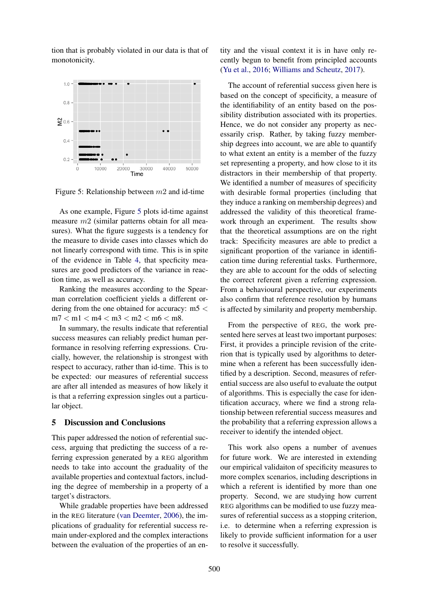tion that is probably violated in our data is that of monotonicity.

<span id="page-8-0"></span>

Figure 5: Relationship between  $m2$  and id-time

As one example, Figure [5](#page-8-0) plots id-time against measure m2 (similar patterns obtain for all measures). What the figure suggests is a tendency for the measure to divide cases into classes which do not linearly correspond with time. This is in spite of the evidence in Table [4,](#page-7-1) that specficity measures are good predictors of the variance in reaction time, as well as accuracy.

Ranking the measures according to the Spearman correlation coefficient yields a different ordering from the one obtained for accuracy: m5 <  $m7 < m1 < m4 < m3 < m2 < m6 < m8$ .

In summary, the results indicate that referential success measures can reliably predict human performance in resolving referring expressions. Crucially, however, the relationship is strongest with respect to accuracy, rather than id-time. This is to be expected: our measures of referential success are after all intended as measures of how likely it is that a referring expression singles out a particular object.

### 5 Discussion and Conclusions

This paper addressed the notion of referential success, arguing that predicting the success of a referring expression generated by a REG algorithm needs to take into account the graduality of the available properties and contextual factors, including the degree of membership in a property of a target's distractors.

While gradable properties have been addressed in the REG literature [\(van Deemter,](#page-9-7) [2006\)](#page-9-7), the implications of graduality for referential success remain under-explored and the complex interactions between the evaluation of the properties of an entity and the visual context it is in have only recently begun to benefit from principled accounts [\(Yu et al.,](#page-10-0) [2016;](#page-10-0) [Williams and Scheutz,](#page-9-9) [2017\)](#page-9-9).

The account of referential success given here is based on the concept of specificity, a measure of the identifiability of an entity based on the possibility distribution associated with its properties. Hence, we do not consider any property as necessarily crisp. Rather, by taking fuzzy membership degrees into account, we are able to quantify to what extent an entity is a member of the fuzzy set representing a property, and how close to it its distractors in their membership of that property. We identified a number of measures of specificity with desirable formal properties (including that they induce a ranking on membership degrees) and addressed the validity of this theoretical framework through an experiment. The results show that the theoretical assumptions are on the right track: Specificity measures are able to predict a significant proportion of the variance in identification time during referential tasks. Furthermore, they are able to account for the odds of selecting the correct referent given a referring expression. From a behavioural perspective, our experiments also confirm that reference resolution by humans is affected by similarity and property membership.

From the perspective of REG, the work presented here serves at least two important purposes: First, it provides a principle revision of the criterion that is typically used by algorithms to determine when a referent has been successfully identified by a description. Second, measures of referential success are also useful to evaluate the output of algorithms. This is especially the case for identification accuracy, where we find a strong relationship between referential success measures and the probability that a referring expression allows a receiver to identify the intended object.

This work also opens a number of avenues for future work. We are interested in extending our empirical validaiton of specificity measures to more complex scenarios, including descriptions in which a referent is identified by more than one property. Second, we are studying how current REG algorithms can be modified to use fuzzy measures of referential success as a stopping criterion, i.e. to determine when a referring expression is likely to provide sufficient information for a user to resolve it successfully.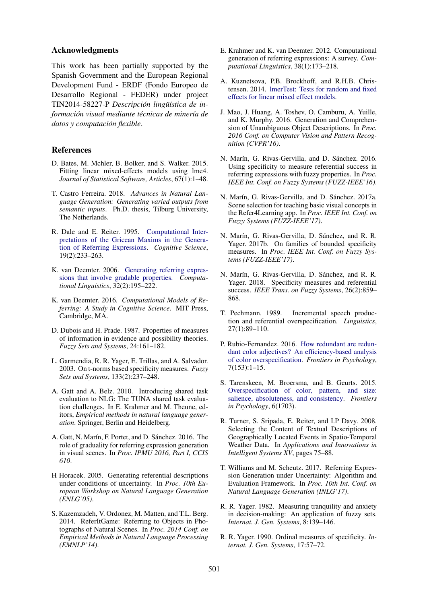#### Acknowledgments

This work has been partially supported by the Spanish Government and the European Regional Development Fund - ERDF (Fondo Europeo de Desarrollo Regional - FEDER) under project TIN2014-58227-P *Descripción lingüística de informacion visual mediante t ´ ecnicas de miner ´ ´ıa de datos y computacion flexible ´* .

#### References

- <span id="page-9-23"></span>D. Bates, M. Mchler, B. Bolker, and S. Walker. 2015. Fitting linear mixed-effects models using lme4. *Journal of Statistical Software, Articles*, 67(1):1–48.
- <span id="page-9-3"></span>T. Castro Ferreira. 2018. *Advances in Natural Language Generation: Generating varied outputs from semantic inputs*. Ph.D. thesis, Tilburg University, The Netherlands.
- <span id="page-9-0"></span>R. Dale and E. Reiter. 1995. [Computational Inter](https://doi.org/10.1207/s15516709cog1902{_}3)[pretations of the Gricean Maxims in the Genera](https://doi.org/10.1207/s15516709cog1902{_}3)[tion of Referring Expressions.](https://doi.org/10.1207/s15516709cog1902{_}3) *Cognitive Science*, 19(2):233–263.
- <span id="page-9-7"></span>K. van Deemter. 2006. [Generating referring expres](https://doi.org/10.1162/coli.2006.32.2.195)[sions that involve gradable properties.](https://doi.org/10.1162/coli.2006.32.2.195) *Computational Linguistics*, 32(2):195–222.
- <span id="page-9-2"></span>K. van Deemter. 2016. *Computational Models of Referring: A Study in Cognitive Science*. MIT Press, Cambridge, MA.
- <span id="page-9-16"></span>D. Dubois and H. Prade. 1987. Properties of measures of information in evidence and possibility theories. *Fuzzy Sets and Systems*, 24:161–182.
- <span id="page-9-18"></span>L. Garmendia, R. R. Yager, E. Trillas, and A. Salvador. 2003. On t-norms based specificity measures. *Fuzzy Sets and Systems*, 133(2):237–248.
- <span id="page-9-22"></span>A. Gatt and A. Belz. 2010. Introducing shared task evaluation to NLG: The TUNA shared task evaluation challenges. In E. Krahmer and M. Theune, editors, *Empirical methods in natural language generation*. Springer, Berlin and Heidelberg.
- <span id="page-9-13"></span>A. Gatt, N. Marín, F. Portet, and D. Sánchez. 2016. The role of graduality for referring expression generation in visual scenes. In *Proc. IPMU 2016, Part I, CCIS 610*.
- <span id="page-9-6"></span>H Horacek. 2005. Generating referential descriptions under conditions of uncertainty. In *Proc. 10th European Workshop on Natural Language Generation (ENLG'05)*.
- <span id="page-9-4"></span>S. Kazemzadeh, V. Ordonez, M. Matten, and T.L. Berg. 2014. ReferItGame: Referring to Objects in Photographs of Natural Scenes. In *Proc. 2014 Conf. on Empirical Methods in Natural Language Processing (EMNLP'14)*.
- <span id="page-9-1"></span>E. Krahmer and K. van Deemter. 2012. Computational generation of referring expressions: A survey. *Computational Linguistics*, 38(1):173–218.
- <span id="page-9-24"></span>A. Kuznetsova, P.B. Brockhoff, and R.H.B. Christensen. 2014. [lmerTest: Tests for random and fixed](http://cran.r-project.org/web/packages/lmerTest/index.html) [effects for linear mixed effect models.](http://cran.r-project.org/web/packages/lmerTest/index.html)
- <span id="page-9-5"></span>J. Mao, J. Huang, A. Toshev, O. Camburu, A. Yuille, and K. Murphy. 2016. Generation and Comprehension of Unambiguous Object Descriptions. In *Proc. 2016 Conf. on Computer Vision and Pattern Recognition (CVPR'16)*.
- <span id="page-9-14"></span>N. Marín, G. Rivas-Gervilla, and D. Sánchez. 2016. Using specificity to measure referential success in referring expressions with fuzzy properties. In *Proc. IEEE Int. Conf. on Fuzzy Systems (FUZZ-IEEE'16)*.
- <span id="page-9-21"></span>N. Marín, G. Rivas-Gervilla, and D. Sánchez. 2017a. Scene selection for teaching basic visual concepts in the Refer4Learning app. In *Proc. IEEE Int. Conf. on Fuzzy Systems (FUZZ-IEEE'17)*.
- <span id="page-9-19"></span>N. Marín, G. Rivas-Gervilla, D. Sánchez, and R. R. Yager. 2017b. On families of bounded specificity measures. In *Proc. IEEE Int. Conf. on Fuzzy Systems (FUZZ-IEEE'17)*.
- <span id="page-9-20"></span>N. Marín, G. Rivas-Gervilla, D. Sánchez, and R. R. Yager. 2018. Specificity measures and referential success. *IEEE Trans. on Fuzzy Systems*, 26(2):859– 868.
- <span id="page-9-10"></span>T. Pechmann. 1989. Incremental speech production and referential overspecification. *Linguistics*, 27(1):89–110.
- <span id="page-9-12"></span>P. Rubio-Fernandez. 2016. [How redundant are redun](https://doi.org/10.3389/fpsyg.2016.00153)[dant color adjectives? An efficiency-based analysis](https://doi.org/10.3389/fpsyg.2016.00153) [of color overspecification.](https://doi.org/10.3389/fpsyg.2016.00153) *Frontiers in Psychology*, 7(153):1–15.
- <span id="page-9-11"></span>S. Tarenskeen, M. Broersma, and B. Geurts. 2015. [Overspecification of color, pattern, and size:](https://doi.org/10.3389/fpsyg.2015.01703) [salience, absoluteness, and consistency.](https://doi.org/10.3389/fpsyg.2015.01703) *Frontiers in Psychology*, 6(1703).
- <span id="page-9-8"></span>R. Turner, S. Sripada, E. Reiter, and I.P Davy. 2008. Selecting the Content of Textual Descriptions of Geographically Located Events in Spatio-Temporal Weather Data. In *Applications and Innovations in Intelligent Systems XV*, pages 75–88.
- <span id="page-9-9"></span>T. Williams and M. Scheutz. 2017. Referring Expression Generation under Uncertainty: Algorithm and Evaluation Framework. In *Proc. 10th Int. Conf. on Natural Language Generation (INLG'17)*.
- <span id="page-9-15"></span>R. R. Yager. 1982. Measuring tranquility and anxiety in decision-making: An application of fuzzy sets. *Internat. J. Gen. Systems*, 8:139–146.
- <span id="page-9-17"></span>R. R. Yager. 1990. Ordinal measures of specificity. *Internat. J. Gen. Systems*, 17:57–72.